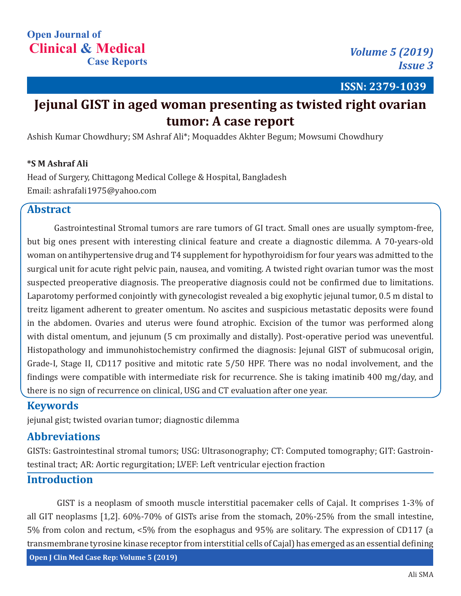**ISSN: 2379-1039**

# **Jejunal GIST in aged woman presenting as twisted right ovarian tumor: A case report**

Ashish Kumar Chowdhury; SM Ashraf Ali\*; Moquaddes Akhter Begum; Mowsumi Chowdhury

#### **\*S M Ashraf Ali**

Head of Surgery, Chittagong Medical College & Hospital, Bangladesh Email: ashrafali1975@yahoo.com

# **Abstract**

Gastrointestinal Stromal tumors are rare tumors of GI tract. Small ones are usually symptom-free, but big ones present with interesting clinical feature and create a diagnostic dilemma. A 70-years-old woman on antihypertensive drug and T4 supplement for hypothyroidism for four years was admitted to the surgical unit for acute right pelvic pain, nausea, and vomiting. A twisted right ovarian tumor was the most suspected preoperative diagnosis. The preoperative diagnosis could not be confirmed due to limitations. Laparotomy performed conjointly with gynecologist revealed a big exophytic jejunal tumor, 0.5 m distal to treitz ligament adherent to greater omentum. No ascites and suspicious metastatic deposits were found in the abdomen. Ovaries and uterus were found atrophic. Excision of the tumor was performed along with distal omentum, and jejunum (5 cm proximally and distally). Post-operative period was uneventful. Histopathology and immunohistochemistry confirmed the diagnosis: Jejunal GIST of submucosal origin, Grade-I, Stage II, CD117 positive and mitotic rate 5/50 HPF. There was no nodal involvement, and the findings were compatible with intermediate risk for recurrence. She is taking imatinib 400 mg/day, and there is no sign of recurrence on clinical, USG and CT evaluation after one year.

#### **Keywords**

jejunal gist; twisted ovarian tumor; diagnostic dilemma

## **Abbreviations**

GISTs: Gastrointestinal stromal tumors; USG: Ultrasonography; CT: Computed tomography; GIT: Gastrointestinal tract; AR: Aortic regurgitation; LVEF: Left ventricular ejection fraction

#### **Introduction**

**Open J Clin Med Case Rep: Volume 5 (2019)** GIST is a neoplasm of smooth muscle interstitial pacemaker cells of Cajal. It comprises 1-3% of all GIT neoplasms [1,2]. 60%-70% of GISTs arise from the stomach, 20%-25% from the small intestine, 5% from colon and rectum, <5% from the esophagus and 95% are solitary. The expression of CD117 (a transmembrane tyrosine kinase receptor from interstitial cells of Cajal) has emerged as an essential defining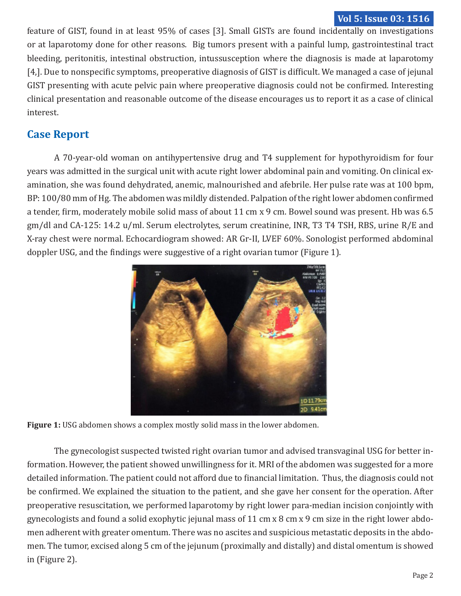#### **Vol 5: Issue 03: 1516**

feature of GIST, found in at least 95% of cases [3]. Small GISTs are found incidentally on investigations or at laparotomy done for other reasons. Big tumors present with a painful lump, gastrointestinal tract bleeding, peritonitis, intestinal obstruction, intussusception where the diagnosis is made at laparotomy [4,]. Due to nonspecific symptoms, preoperative diagnosis of GIST is difficult. We managed a case of jejunal GIST presenting with acute pelvic pain where preoperative diagnosis could not be confirmed. Interesting clinical presentation and reasonable outcome of the disease encourages us to report it as a case of clinical interest.

# **Case Report**

A 70-year-old woman on antihypertensive drug and T4 supplement for hypothyroidism for four years was admitted in the surgical unit with acute right lower abdominal pain and vomiting. On clinical examination, she was found dehydrated, anemic, malnourished and afebrile. Her pulse rate was at 100 bpm, BP: 100/80 mm of Hg. The abdomen was mildly distended. Palpation of the right lower abdomen confirmed a tender, firm, moderately mobile solid mass of about 11 cm x 9 cm. Bowel sound was present. Hb was 6.5 gm/dl and CA-125: 14.2 u/ml. Serum electrolytes, serum creatinine, INR, T3 T4 TSH, RBS, urine R/E and X-ray chest were normal. Echocardiogram showed: AR Gr-II, LVEF 60%. Sonologist performed abdominal doppler USG, and the findings were suggestive of a right ovarian tumor (Figure 1).



**Figure 1:** USG abdomen shows a complex mostly solid mass in the lower abdomen.

The gynecologist suspected twisted right ovarian tumor and advised transvaginal USG for better information. However, the patient showed unwillingness for it. MRI of the abdomen was suggested for a more detailed information. The patient could not afford due to financial limitation. Thus, the diagnosis could not be confirmed. We explained the situation to the patient, and she gave her consent for the operation. After preoperative resuscitation, we performed laparotomy by right lower para-median incision conjointly with gynecologists and found a solid exophytic jejunal mass of 11 cm x 8 cm x 9 cm size in the right lower abdomen adherent with greater omentum. There was no ascites and suspicious metastatic deposits in the abdomen. The tumor, excised along 5 cm of the jejunum (proximally and distally) and distal omentum is showed in (Figure 2).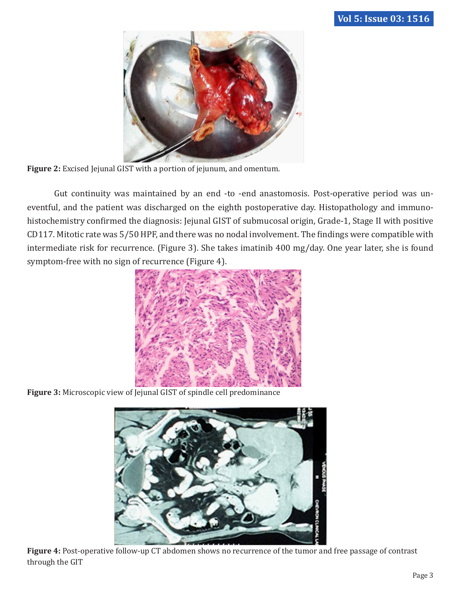

**Figure 2:** Excised Jejunal GIST with a portion of jejunum, and omentum.

Gut continuity was maintained by an end -to -end anastomosis. Post-operative period was uneventful, and the patient was discharged on the eighth postoperative day. Histopathology and immunohistochemistry confirmed the diagnosis: Jejunal GIST of submucosal origin, Grade-1, Stage II with positive CD117. Mitotic rate was 5/50 HPF, and there was no nodal involvement. The findings were compatible with intermediate risk for recurrence. (Figure 3). She takes imatinib 400 mg/day. One year later, she is found symptom-free with no sign of recurrence (Figure 4).



**Figure 3:** Microscopic view of Jejunal GIST of spindle cell predominance



**Figure 4:** Post-operative follow-up CT abdomen shows no recurrence of the tumor and free passage of contrast through the GIT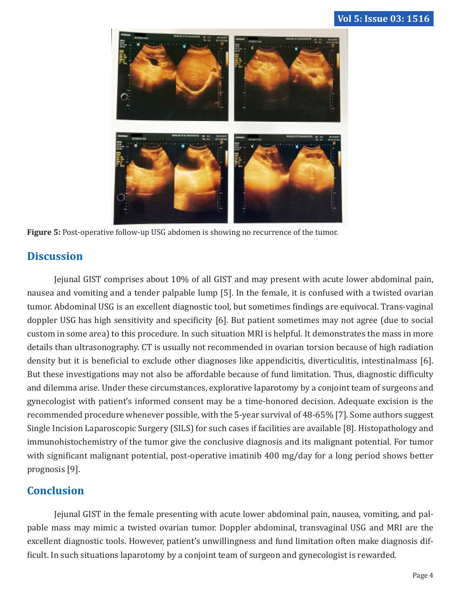

**Figure 5:** Post-operative follow-up USG abdomen is showing no recurrence of the tumor.

## **Discussion**

Jejunal GIST comprises about 10% of all GIST and may present with acute lower abdominal pain, nausea and vomiting and a tender palpable lump [5]. In the female, it is confused with a twisted ovarian tumor. Abdominal USG is an excellent diagnostic tool, but sometimes findings are equivocal. Trans-vaginal doppler USG has high sensitivity and specificity [6]. But patient sometimes may not agree (due to social custom in some area) to this procedure. In such situation MRI is helpful. It demonstrates the mass in more details than ultrasonography. CT is usually not recommended in ovarian torsion because of high radiation density but it is beneficial to exclude other diagnoses like appendicitis, diverticulitis, intestinalmass [6]. But these investigations may not also be affordable because of fund limitation. Thus, diagnostic difficulty and dilemma arise. Under these circumstances, explorative laparotomy by a conjoint team of surgeons and gynecologist with patient's informed consent may be a time-honored decision. Adequate excision is the recommended procedure whenever possible, with the 5-year survival of 48-65% [7]. Some authors suggest Single Incision Laparoscopic Surgery (SILS) for such cases if facilities are available [8]. Histopathology and immunohistochemistry of the tumor give the conclusive diagnosis and its malignant potential. For tumor with significant malignant potential, post-operative imatinib 400 mg/day for a long period shows better prognosis [9].

## **Conclusion**

Jejunal GIST in the female presenting with acute lower abdominal pain, nausea, vomiting, and palpable mass may mimic a twisted ovarian tumor. Doppler abdominal, transvaginal USG and MRI are the excellent diagnostic tools. However, patient's unwillingness and fund limitation often make diagnosis difficult. In such situations laparotomy by a conjoint team of surgeon and gynecologist is rewarded.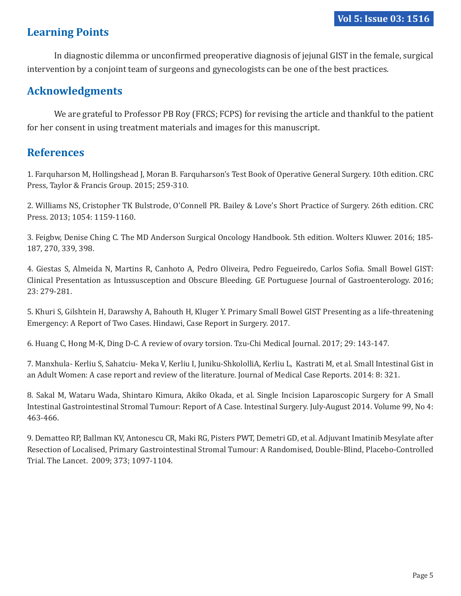# **Learning Points**

In diagnostic dilemma or unconfirmed preoperative diagnosis of jejunal GIST in the female, surgical intervention by a conjoint team of surgeons and gynecologists can be one of the best practices.

#### **Acknowledgments**

We are grateful to Professor PB Roy (FRCS; FCPS) for revising the article and thankful to the patient for her consent in using treatment materials and images for this manuscript.

#### **References**

1. Farquharson M, Hollingshead J, Moran B. Farquharson's Test Book of Operative General Surgery. 10th edition. CRC Press, Taylor & Francis Group. 2015; 259-310.

2. Williams NS, Cristopher TK Bulstrode, O'Connell PR. Bailey & Love's Short Practice of Surgery. 26th edition. CRC Press. 2013; 1054: 1159-1160.

3. Feigbw, Denise Ching C. The MD Anderson Surgical Oncology Handbook. 5th edition. Wolters Kluwer. 2016; 185- 187, 270, 339, 398.

4. Giestas S, Almeida N, Martins R, Canhoto A, Pedro Oliveira, Pedro Fegueiredo, Carlos Sofia. Small Bowel GIST: Clinical Presentation as Intussusception and Obscure Bleeding. GE Portuguese Journal of Gastroenterology. 2016; 23: 279-281.

5. Khuri S, Gilshtein H, Darawshy A, Bahouth H, Kluger Y. Primary Small Bowel GIST Presenting as a life-threatening Emergency: A Report of Two Cases. Hindawi, Case Report in Surgery. 2017.

6. Huang C, Hong M-K, Ding D-C. A review of ovary torsion. Tzu-Chi Medical Journal. 2017; 29: 143-147.

7. Manxhula- Kerliu S, Sahatciu- Meka V, Kerliu I, Juniku-ShkololliA, Kerliu L, Kastrati M, et al. Small Intestinal Gist in an Adult Women: A case report and review of the literature. Journal of Medical Case Reports. 2014: 8: 321.

8. Sakal M, Wataru Wada, Shintaro Kimura, Akiko Okada, et al. Single Incision Laparoscopic Surgery for A Small Intestinal Gastrointestinal Stromal Tumour: Report of A Case. Intestinal Surgery. July-August 2014. Volume 99, No 4: 463-466.

9. Dematteo RP, Ballman KV, Antonescu CR, Maki RG, Pisters PWT, Demetri GD, et al. Adjuvant Imatinib Mesylate after Resection of Localised, Primary Gastrointestinal Stromal Tumour: A Randomised, Double-Blind, Placebo-Controlled Trial. The Lancet. 2009; 373; 1097-1104.